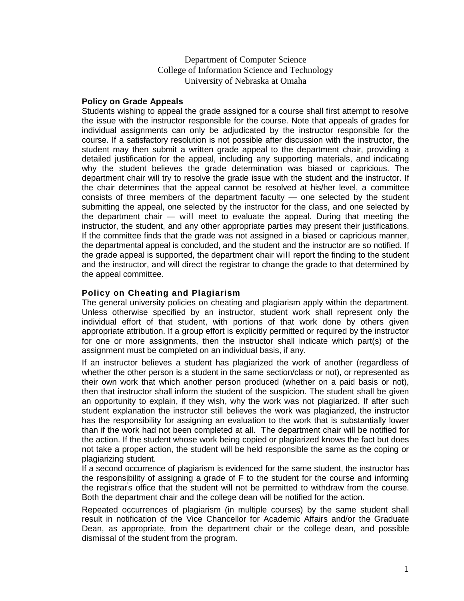## Department of Computer Science College of Information Science and Technology University of Nebraska at Omaha

## **Policy on Grade Appeals**

Students wishing to appeal the grade assigned for a course shall first attempt to resolve the issue with the instructor responsible for the course. Note that appeals of grades for individual assignments can only be adjudicated by the instructor responsible for the course. If a satisfactory resolution is not possible after discussion with the instructor, the student may then submit a written grade appeal to the department chair, providing a detailed justification for the appeal, including any supporting materials, and indicating why the student believes the grade determination was biased or capricious. The department chair will try to resolve the grade issue with the student and the instructor. If the chair determines that the appeal cannot be resolved at his/her level, a committee consists of three members of the department faculty — one selected by the student submitting the appeal, one selected by the instructor for the class, and one selected by the department chair — will meet to evaluate the appeal. During that meeting the instructor, the student, and any other appropriate parties may present their justifications. If the committee finds that the grade was not assigned in a biased or capricious manner, the departmental appeal is concluded, and the student and the instructor are so notified. If the grade appeal is supported, the department chair will report the finding to the student and the instructor, and will direct the registrar to change the grade to that determined by the appeal committee.

## **Policy on Cheating and Plagiarism**

The general university policies on cheating and plagiarism apply within the department. Unless otherwise specified by an instructor, student work shall represent only the individual effort of that student, with portions of that work done by others given appropriate attribution. If a group effort is explicitly permitted or required by the instructor for one or more assignments, then the instructor shall indicate which part(s) of the assignment must be completed on an individual basis, if any.

If an instructor believes a student has plagiarized the work of another (regardless of whether the other person is a student in the same section/class or not), or represented as their own work that which another person produced (whether on a paid basis or not), then that instructor shall inform the student of the suspicion. The student shall be given an opportunity to explain, if they wish, why the work was not plagiarized. If after such student explanation the instructor still believes the work was plagiarized, the instructor has the responsibility for assigning an evaluation to the work that is substantially lower than if the work had not been completed at all. The department chair will be notified for the action. If the student whose work being copied or plagiarized knows the fact but does not take a proper action, the student will be held responsible the same as the coping or plagiarizing student.

If a second occurrence of plagiarism is evidenced for the same student, the instructor has the responsibility of assigning a grade of F to the student for the course and informing the registrar' s office that the student will not be permitted to withdraw from the course. Both the department chair and the college dean will be notified for the action.

Repeated occurrences of plagiarism (in multiple courses) by the same student shall result in notification of the Vice Chancellor for Academic Affairs and/or the Graduate Dean, as appropriate, from the department chair or the college dean, and possible dismissal of the student from the program.